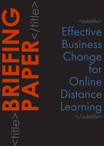<title>**BRIEFING PAPER**<br>CONSTRAINS

<subtitle> **Effective** Business Change for **Online** Distance Learning </subtitle>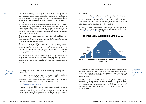#### CAPDM Ltd. CAPDM Ltd.

Introduction **Educational technologies are still rapidly changing. There has been no 'let** 

up' over the last decade in new technology arrivals with the resulting need to explore and adapt them to make the processes of teaching and learning more efficient and effective. As each new cycle of education technology progresses, a minority of useful ones stand the test of time, stay with us, and retain core funding.

The first generation of virtual learning environments (VLE or LMS) have been replaced either by: established user-derived initiatives like Moodle; or by the next generation of commercial products such Canvas, re-architected to form service-oriented solutions platforms that are better targeted at specific learning industries including schools, colleges, universities, professional associations, corporations and government.

These second-generation platforms are in turn being challenged by the new MOOC technologies and providers, currently hoping to leverage their new mass-market course delivery platforms and channels, to deliver academically accredited courses to profitable audiences.

Technology aside, a more difficult change for Institutions to manage however, is business change which addresses the need to get somewhere different from where the education 'business' is today. This is a challenge for established education providers indeed, and even more of a challenge for their suppliers who need to get somewhere first before the education providers actually need to be there.

This briefing paper is aimed at business managers – the people charged with keeping the education business alive, achieving and increasingly now, profitable. It offers two specific way to go about effecting change in an established education business, to transform it permanently into an modern online one.

What stage are you at in the process of introducing eLearning into your organisation:

> No eLearning; sporadic use of e-learning; regularly replicated e-learning; established eLearning or "mission critical"?

If you want to delve a bit more into the different meaning of each of these categories of uptake, have a go at doing our online exercise here:

#### [http://www.capdm.com/barriers/](http://www.capdm.com/barriers/ )

Its getting on a bit now (2003), but the thoughts it provokes are just as relevant today with adopting eLearning as they were when fifteen years ago the same debate was being had about adopting distance learning. If you think about the answers you provide to the 50 questions contained in the exercise, you should end up with a useful indicator of where you need to address the key issues for

Where do you want to go?

your institution.

Then there is the issue of what everyone else is doing. Market research organisations such as [Ambient Insight](http://www.ambientinsight.com/Resources/Documents/AmbientInsight_2015-2020_US_Self-paced-eLearning_Market_Abstract.pdf) are currently very negative towards self-paced eLearning, projecting negative 6.4% growth rates up to 2020. This pessimism is driven by many factors including the inefficiencies of legacy education products and processes being challenged by new technologyenhanced advances in digital publishing and pedagogy.

So where do you feel your eLearning adoption efforts lie; stuck in Geoffrey Moore's 'chasm' awaiting the Early Majority of adopters, or mired in Everett Rogers "[Diffusion of Innovations"](https://en.wikipedia.org/wiki/Diffusion_of_innovations) (2003).

Where are

you today?



# Technology Adoption Life Cycle



One thing that should be clearer today is the proven need to establish greater flexibility in the delivery of programmes and courses. Going online means giving greater choice to students, but doing it in a way that can **scale** cost-effectively requires an **investment in content** that is fit for carrying some (if not all) of the tutoring workload.

Choosing where to place your online course designs on the flexible learning spectrum is a significant decision that has to come early on in the course design process. It influences the architecture of your emerging repository of content, and it becomes your 'product definition', helping you standardise your authoring, production and support efforts around a commonly understood domain of product components.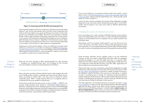## What to change in the business

#### CAPDM Ltd. CAPDM Ltd.

![](_page_2_Figure_1.jpeg)

Figure 2: eLearning and the flexible learning spectrum

eLearning technologies are a bit of a 'red-herring' in that they can span the whole spectrum, and can be used equally well to provide course components that enhance classroom delivery (e.g. group simulations) as to enhance online study sessions (e.g. multimedia case studies). They tend to be expensive to develop though, so the number and type of eLearning components you choose to have in your product will be directly moderated by the budget you have available to either develop in-house, license or adapt them in from 3rd party sources. Open Educational Resource repositories can help, but it's a bit hit-and-miss depending on your subject, and even then it's often expensive to integrate them.

Agreeing your online product design is critical, as is defining your target market and how you will reach it, as covered in our whitepaper entitled [Market strategies](https://www.capdm.co.uk/wp-content/uploads/2013/03/WP002A.pdf)  [for distance learning programmes.](https://www.capdm.co.uk/wp-content/uploads/2013/03/WP002A.pdf) Your market strategy will end up significantly influencing the business model you choose establish, to deliver your products successfully to market and can sustain them there.

There are two main changes to effect organisationally for online learning – changing your strategic/business plan, and changing the key business processes related to product (course) development and delivery.

### Changing the strategic/business plan

Many education providers enshrine ambitious goals in their strategic plans that aim to double student numbers or develop new revenues from foreign sources. Many are failing to achieve them, and many more are failing to achieve sustainable gains. Why? Usually because there are no pragmatic plans to orchestrate the resources needed to achieve them.

One business model that has been proven to work is [DGBIE](https://www.capdm.co.uk/wp-content/uploads/2013/01/The-DGBIE-Model-BRIEFING-PAPER.pdf) – CAPDM's own business model template which stands for 'Developing Global Business in Education'. Based on more than a decade of proven success with the Edinburgh Business School eMBA programme, the World's largest online non-tutored MBA programme, this model is a recipe for building successful businesses in distance and online education, and should be studied in great detail.

If you want to build your own business model and plan from scratch, a good place to start is the [Recommendations for robust and sustainable large-scale](http://www.nettskolen.com/in_english/megatrends/Recommendations.pdf)  [e-learning](http://www.nettskolen.com/in_english/megatrends/Recommendations.pdf) paper written by Morten Flate Paulsen et.al., which provides sound advice on what to include in it.

In short, the plan needs to assemble and motivate all the stakeholders needed; design the course; source the content; develop the product; get it 'on-the-shelf'; market, sell and support it over many years within an efficient administration environment.

### Changing the course development processes

If you are setting out to create a domain of flexible learning course products, that must be deliverable in print and online in a variety of learning management systems, you will probably have to re-engineer how you author; produce; test; and deliver them.

Alternatively, and if your business model supports it, you can choose not to try to do it all in-house, and either outsource chunks of the development to third party specialists; in-source people temporarily with the skills and technologies you need; or partner and perhaps share some of the potential rewards and risks.

Small innovative education service suppliers trying to win big institutional contracts on their own need to demonstrate they have either an exemplary specialist knowledge in an area that adds real value, or a genuine 'killer' application. But what exemplary specialist knowledge helps to really add value to an embryonic online education business, and what 'killer' applications are there of relevance to education provision today?

Distance learning is one area of exemplary specialist knowledge that can really add value to online education provision today. The research work done in 2001 by [Cho, Berge and Muilenberg](http://www.emoderators.com/barriers) on barriers to uptake of distance learning in US institutions, used for the basis of the exercise you tried above, is certainly of value in considering how to change your teaching and learning delivery. Indeed, evidence from the literature is that as student needs shift more and more towards a flexible learning experience, distance learning, blended learning and eLearning are finding increasingly common ground.

One killer application of immediate relevance to education provision is [single](http://en.wikipedia.org/wiki/Single_source_publishing)  [source publishing](http://en.wikipedia.org/wiki/Single_source_publishing) or single sourcing. This standards-based content development approach has been around since 1986 and has already revolutionised the News and Journal Publishing industries. It enables better content reuse and device independence, and involves a move away from traditional publishing processes towards more efficient and better quality automated ones.

Outsourcing, in-sourcing, partnering who to work with